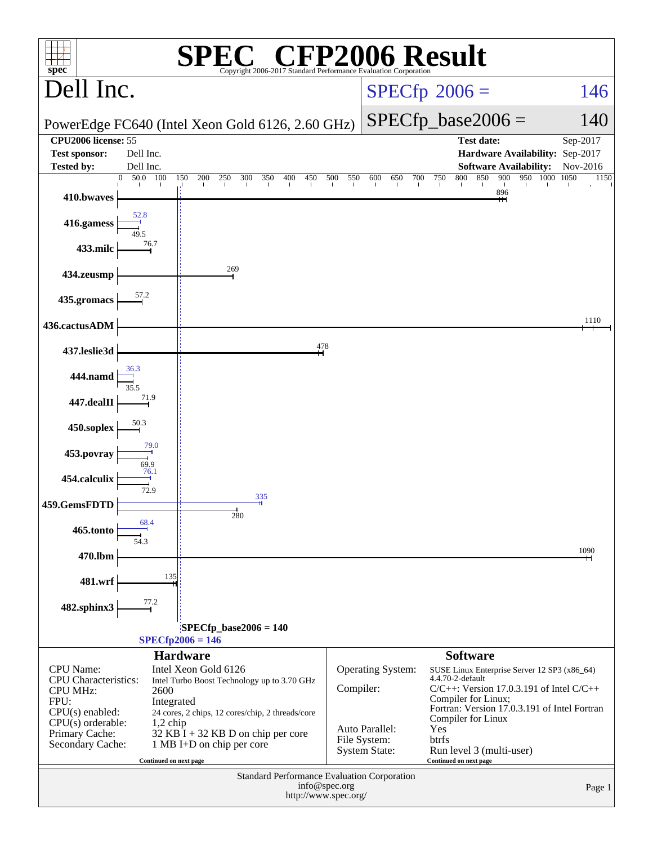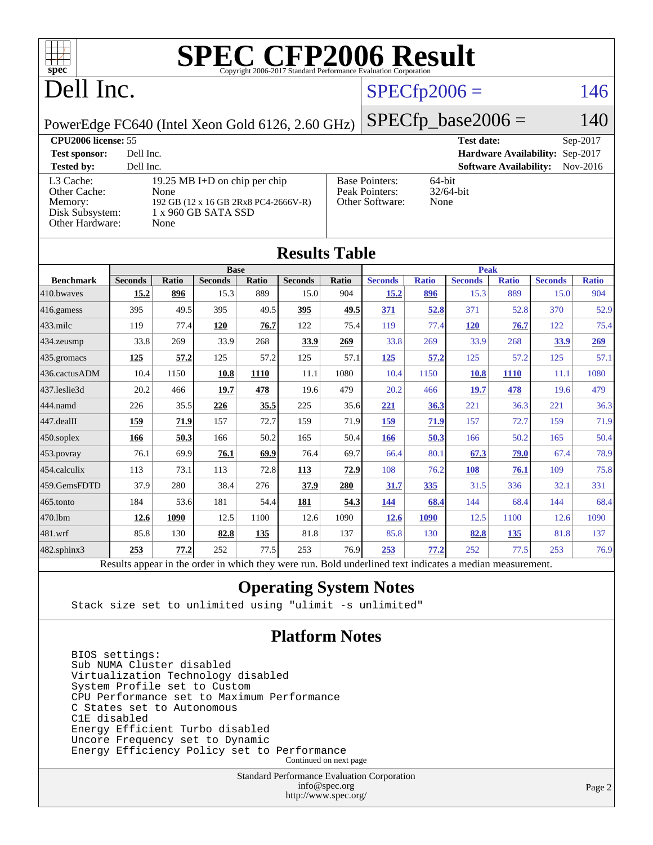

## Dell Inc.

### $SPECfp2006 = 146$  $SPECfp2006 = 146$

PowerEdge FC640 (Intel Xeon Gold 6126, 2.60 GHz)

 $SPECfp\_base2006 = 140$ 

| <b>CPU2006 license: 55</b>                                                 |                                                                                                              | <b>Test date:</b><br>$Sep-2017$                            |                                           |
|----------------------------------------------------------------------------|--------------------------------------------------------------------------------------------------------------|------------------------------------------------------------|-------------------------------------------|
| <b>Test sponsor:</b>                                                       | Dell Inc.                                                                                                    |                                                            | Hardware Availability: Sep-2017           |
| <b>Tested by:</b>                                                          | Dell Inc.                                                                                                    |                                                            | <b>Software Availability:</b><br>Nov-2016 |
| L3 Cache:<br>Other Cache:<br>Memory:<br>Disk Subsystem:<br>Other Hardware: | 19.25 MB I+D on chip per chip<br>None<br>192 GB (12 x 16 GB 2Rx8 PC4-2666V-R)<br>1 x 960 GB SATA SSD<br>None | <b>Base Pointers:</b><br>Peak Pointers:<br>Other Software: | $64$ -bit<br>$32/64$ -bit<br>None         |

**[Results Table](http://www.spec.org/auto/cpu2006/Docs/result-fields.html#ResultsTable)**

| Results Tadie     |                                                                                                          |              |                |              |                |              |                |              |                |              |                |              |
|-------------------|----------------------------------------------------------------------------------------------------------|--------------|----------------|--------------|----------------|--------------|----------------|--------------|----------------|--------------|----------------|--------------|
|                   | <b>Base</b>                                                                                              |              |                |              |                | <b>Peak</b>  |                |              |                |              |                |              |
| <b>Benchmark</b>  | <b>Seconds</b>                                                                                           | <b>Ratio</b> | <b>Seconds</b> | <b>Ratio</b> | <b>Seconds</b> | <b>Ratio</b> | <b>Seconds</b> | <b>Ratio</b> | <b>Seconds</b> | <b>Ratio</b> | <b>Seconds</b> | <b>Ratio</b> |
| 410.bwayes        | 15.2                                                                                                     | 896          | 15.3           | 889          | 15.0           | 904          | 15.2           | 896          | 15.3           | 889          | 15.0           | 904          |
| 416.gamess        | 395                                                                                                      | 49.5         | 395            | 49.5         | 395            | 49.5         | 371            | 52.8         | 371            | 52.8         | 370            | 52.9         |
| $433$ .milc       | 119                                                                                                      | 77.4         | 120            | 76.7         | 122            | 75.4         | 119            | 77.4         | <u>120</u>     | 76.7         | 122            | 75.4         |
| 434.zeusmp        | 33.8                                                                                                     | 269          | 33.9           | 268          | 33.9           | 269          | 33.8           | 269          | 33.9           | 268          | 33.9           | 269          |
| 435.gromacs       | 125                                                                                                      | 57.2         | 125            | 57.2         | 125            | 57.1         | 125            | 57.2         | 125            | 57.2         | 125            | 57.1         |
| 436.cactusADM     | 10.4                                                                                                     | 1150         | 10.8           | <b>1110</b>  | 11.1           | 1080         | 10.4           | 1150         | 10.8           | <b>1110</b>  | 11.1           | 1080         |
| 437.leslie3d      | 20.2                                                                                                     | 466          | 19.7           | 478          | 19.6           | 479          | 20.2           | 466          | 19.7           | 478          | 19.6           | 479          |
| 444.namd          | 226                                                                                                      | 35.5         | 226            | 35.5         | 225            | 35.6         | 221            | 36.3         | 221            | 36.3         | 221            | 36.3         |
| 447.dealII        | 159                                                                                                      | 71.9         | 157            | 72.7         | 159            | 71.9         | 159            | 71.9         | 157            | 72.7         | 159            | 71.9         |
| $450$ .soplex     | 166                                                                                                      | 50.3         | 166            | 50.2         | 165            | 50.4         | 166            | 50.3         | 166            | 50.2         | 165            | 50.4         |
| 453.povray        | 76.1                                                                                                     | 69.9         | 76.1           | 69.9         | 76.4           | 69.7         | 66.4           | 80.1         | 67.3           | 79.0         | 67.4           | 78.9         |
| 454.calculix      | 113                                                                                                      | 73.1         | 113            | 72.8         | 113            | 72.9         | 108            | 76.2         | 108            | 76.1         | 109            | 75.8         |
| 459.GemsFDTD      | 37.9                                                                                                     | 280          | 38.4           | 276          | 37.9           | 280          | 31.7           | 335          | 31.5           | 336          | 32.1           | 331          |
| 465.tonto         | 184                                                                                                      | 53.6         | 181            | 54.4         | 181            | 54.3         | <u>144</u>     | 68.4         | 144            | 68.4         | 144            | 68.4         |
| 470.1bm           | 12.6                                                                                                     | 1090         | 12.5           | 1100         | 12.6           | 1090         | 12.6           | <b>1090</b>  | 12.5           | 1100         | 12.6           | 1090         |
| 481.wrf           | 85.8                                                                                                     | 130          | 82.8           | 135          | 81.8           | 137          | 85.8           | 130          | 82.8           | 135          | 81.8           | 137          |
| $482$ .sphinx $3$ | 253                                                                                                      | 77.2         | 252            | 77.5         | 253            | 76.9         | 253            | 77.2         | 252            | 77.5         | 253            | 76.9         |
|                   | Results appear in the order in which they were run. Bold underlined text indicates a median measurement. |              |                |              |                |              |                |              |                |              |                |              |

#### **[Operating System Notes](http://www.spec.org/auto/cpu2006/Docs/result-fields.html#OperatingSystemNotes)**

Stack size set to unlimited using "ulimit -s unlimited"

#### **[Platform Notes](http://www.spec.org/auto/cpu2006/Docs/result-fields.html#PlatformNotes)**

 BIOS settings: Sub NUMA Cluster disabled Virtualization Technology disabled System Profile set to Custom CPU Performance set to Maximum Performance C States set to Autonomous C1E disabled Energy Efficient Turbo disabled Uncore Frequency set to Dynamic Energy Efficiency Policy set to Performance Continued on next page

> Standard Performance Evaluation Corporation [info@spec.org](mailto:info@spec.org) <http://www.spec.org/>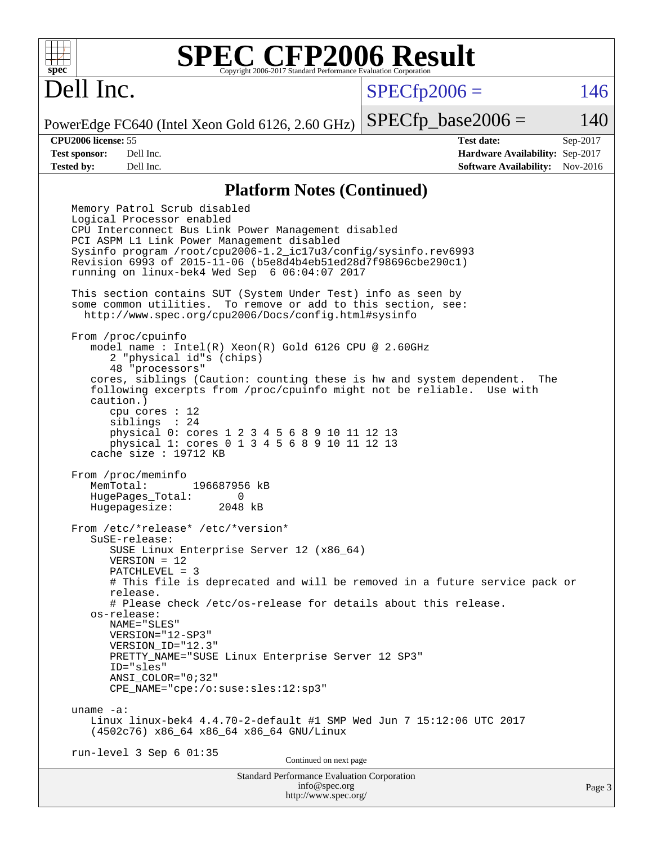

## Dell Inc.

 $SPECTp2006 = 146$ 

PowerEdge FC640 (Intel Xeon Gold 6126, 2.60 GHz)  $SPECTp\_base2006 = 140$ 

**[CPU2006 license:](http://www.spec.org/auto/cpu2006/Docs/result-fields.html#CPU2006license)** 55 **[Test date:](http://www.spec.org/auto/cpu2006/Docs/result-fields.html#Testdate)** Sep-2017 **[Test sponsor:](http://www.spec.org/auto/cpu2006/Docs/result-fields.html#Testsponsor)** Dell Inc. **[Hardware Availability:](http://www.spec.org/auto/cpu2006/Docs/result-fields.html#HardwareAvailability)** Sep-2017 **[Tested by:](http://www.spec.org/auto/cpu2006/Docs/result-fields.html#Testedby)** Dell Inc. **[Software Availability:](http://www.spec.org/auto/cpu2006/Docs/result-fields.html#SoftwareAvailability)** Nov-2016

#### **[Platform Notes \(Continued\)](http://www.spec.org/auto/cpu2006/Docs/result-fields.html#PlatformNotes)**

Standard Performance Evaluation Corporation [info@spec.org](mailto:info@spec.org) Memory Patrol Scrub disabled Logical Processor enabled CPU Interconnect Bus Link Power Management disabled PCI ASPM L1 Link Power Management disabled Sysinfo program /root/cpu2006-1.2\_ic17u3/config/sysinfo.rev6993 Revision 6993 of 2015-11-06 (b5e8d4b4eb51ed28d7f98696cbe290c1) running on linux-bek4 Wed Sep 6 06:04:07 2017 This section contains SUT (System Under Test) info as seen by some common utilities. To remove or add to this section, see: <http://www.spec.org/cpu2006/Docs/config.html#sysinfo> From /proc/cpuinfo model name : Intel(R) Xeon(R) Gold 6126 CPU @ 2.60GHz 2 "physical id"s (chips) 48 "processors" cores, siblings (Caution: counting these is hw and system dependent. The following excerpts from /proc/cpuinfo might not be reliable. Use with caution.) cpu cores : 12 siblings : 24 physical 0: cores 1 2 3 4 5 6 8 9 10 11 12 13 physical 1: cores 0 1 3 4 5 6 8 9 10 11 12 13 cache size : 19712 KB From /proc/meminfo MemTotal: 196687956 kB HugePages\_Total: 0<br>Hugepagesize: 2048 kB Hugepagesize: From /etc/\*release\* /etc/\*version\* SuSE-release: SUSE Linux Enterprise Server 12 (x86\_64) VERSION = 12 PATCHLEVEL = 3 # This file is deprecated and will be removed in a future service pack or release. # Please check /etc/os-release for details about this release. os-release: NAME="SLES" VERSION="12-SP3" VERSION\_ID="12.3" PRETTY\_NAME="SUSE Linux Enterprise Server 12 SP3" ID="sles" ANSI\_COLOR="0;32" CPE\_NAME="cpe:/o:suse:sles:12:sp3" uname -a: Linux linux-bek4 4.4.70-2-default #1 SMP Wed Jun 7 15:12:06 UTC 2017 (4502c76) x86\_64 x86\_64 x86\_64 GNU/Linux run-level 3 Sep 6 01:35 Continued on next page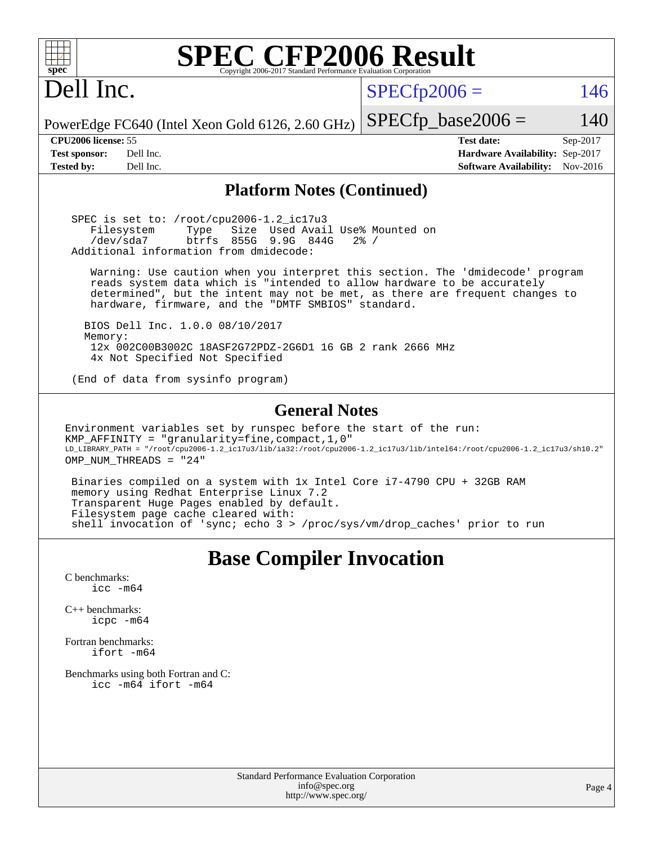| <b>SPEC CFP2006 Result</b><br>$spec^*$<br>Copyright 2006-2017 Standard Performance Evaluation Corporation                                                                                                                                                                                                                                                                                                                                                                                                                                                                                       |                                                                                                               |  |
|-------------------------------------------------------------------------------------------------------------------------------------------------------------------------------------------------------------------------------------------------------------------------------------------------------------------------------------------------------------------------------------------------------------------------------------------------------------------------------------------------------------------------------------------------------------------------------------------------|---------------------------------------------------------------------------------------------------------------|--|
| Dell Inc.                                                                                                                                                                                                                                                                                                                                                                                                                                                                                                                                                                                       | $SPECfp2006 =$<br>146                                                                                         |  |
| PowerEdge FC640 (Intel Xeon Gold 6126, 2.60 GHz)                                                                                                                                                                                                                                                                                                                                                                                                                                                                                                                                                | $SPECfp\_base2006 =$<br>140                                                                                   |  |
| CPU2006 license: 55<br>Dell Inc.<br><b>Test sponsor:</b><br>Dell Inc.<br><b>Tested by:</b>                                                                                                                                                                                                                                                                                                                                                                                                                                                                                                      | <b>Test date:</b><br>Sep-2017<br>Hardware Availability: Sep-2017<br>Nov-2016<br><b>Software Availability:</b> |  |
| <b>Platform Notes (Continued)</b>                                                                                                                                                                                                                                                                                                                                                                                                                                                                                                                                                               |                                                                                                               |  |
| SPEC is set to: /root/cpu2006-1.2_ic17u3<br>Size Used Avail Use% Mounted on<br>Filesystem<br>Type<br>btrfs<br>855G<br>/dev/sda7<br>9.9G 844G<br>Additional information from dmidecode:                                                                                                                                                                                                                                                                                                                                                                                                          | $2\frac{8}{9}$ /                                                                                              |  |
| Warning: Use caution when you interpret this section. The 'dmidecode' program<br>reads system data which is "intended to allow hardware to be accurately<br>determined", but the intent may not be met, as there are frequent changes to<br>hardware, firmware, and the "DMTF SMBIOS" standard.                                                                                                                                                                                                                                                                                                 |                                                                                                               |  |
| BIOS Dell Inc. 1.0.0 08/10/2017<br>Memory:<br>12x 002C00B3002C 18ASF2G72PDZ-2G6D1 16 GB 2 rank 2666 MHz<br>4x Not Specified Not Specified                                                                                                                                                                                                                                                                                                                                                                                                                                                       |                                                                                                               |  |
| (End of data from sysinfo program)                                                                                                                                                                                                                                                                                                                                                                                                                                                                                                                                                              |                                                                                                               |  |
| <b>General Notes</b><br>Environment variables set by runspec before the start of the run:<br>KMP_AFFINITY = "granularity=fine, compact, 1, 0"<br>LD_LIBRARY_PATH = "/root/cpu2006-1.2_ic17u3/lib/ia32:/root/cpu2006-1.2_ic17u3/lib/intel64:/root/cpu2006-1.2_ic17u3/sh10.2"<br>OMP NUM THREADS = "24"<br>Binaries compiled on a system with 1x Intel Core i7-4790 CPU + 32GB RAM<br>memory using Redhat Enterprise Linux 7.2<br>Transparent Huge Pages enabled by default.<br>Filesystem page cache cleared with:<br>shell invocation of 'sync; echo 3 > /proc/sys/vm/drop_caches' prior to run |                                                                                                               |  |
| <b>Base Compiler Invocation</b><br>C benchmarks:<br>$\text{icc}$ $-\text{m64}$<br>$C_{++}$ benchmarks:<br>icpc -m64<br>Fortran benchmarks:<br>ifort -m64<br>Benchmarks using both Fortran and C:<br>icc -m64 ifort -m64                                                                                                                                                                                                                                                                                                                                                                         |                                                                                                               |  |
| <b>Standard Performance Evaluation Corporation</b><br>info@spec.org                                                                                                                                                                                                                                                                                                                                                                                                                                                                                                                             | Page .                                                                                                        |  |

<http://www.spec.org/>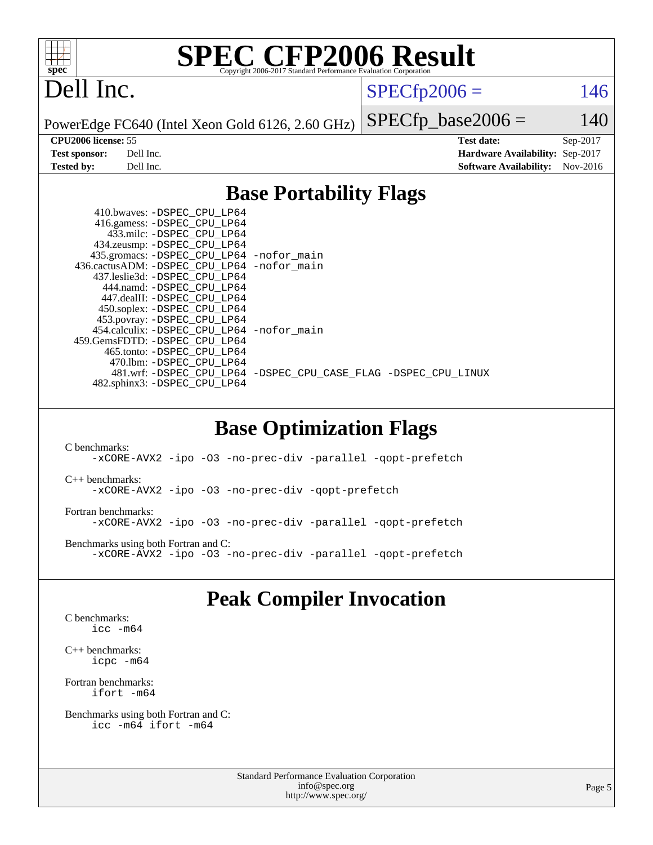

## Dell Inc.

 $SPECTp2006 = 146$ 

PowerEdge FC640 (Intel Xeon Gold 6126, 2.60 GHz)

 $SPECfp\_base2006 = 140$ **[CPU2006 license:](http://www.spec.org/auto/cpu2006/Docs/result-fields.html#CPU2006license)** 55 **[Test date:](http://www.spec.org/auto/cpu2006/Docs/result-fields.html#Testdate)** Sep-2017 **[Test sponsor:](http://www.spec.org/auto/cpu2006/Docs/result-fields.html#Testsponsor)** Dell Inc. **[Hardware Availability:](http://www.spec.org/auto/cpu2006/Docs/result-fields.html#HardwareAvailability)** Sep-2017 **[Tested by:](http://www.spec.org/auto/cpu2006/Docs/result-fields.html#Testedby)** Dell Inc. **[Software Availability:](http://www.spec.org/auto/cpu2006/Docs/result-fields.html#SoftwareAvailability)** Nov-2016

#### **[Base Portability Flags](http://www.spec.org/auto/cpu2006/Docs/result-fields.html#BasePortabilityFlags)**

| 410.bwaves: -DSPEC CPU LP64                 |                                                                |
|---------------------------------------------|----------------------------------------------------------------|
| 416.gamess: -DSPEC_CPU_LP64                 |                                                                |
| 433.milc: -DSPEC CPU LP64                   |                                                                |
| 434.zeusmp: -DSPEC_CPU_LP64                 |                                                                |
| 435.gromacs: -DSPEC_CPU_LP64 -nofor_main    |                                                                |
| 436.cactusADM: -DSPEC CPU LP64 -nofor main  |                                                                |
| 437.leslie3d: -DSPEC CPU LP64               |                                                                |
| 444.namd: -DSPEC CPU LP64                   |                                                                |
| 447.dealII: -DSPEC CPU LP64                 |                                                                |
| 450.soplex: -DSPEC_CPU_LP64                 |                                                                |
| 453.povray: -DSPEC_CPU_LP64                 |                                                                |
| 454.calculix: - DSPEC CPU LP64 - nofor main |                                                                |
| 459. GemsFDTD: - DSPEC CPU LP64             |                                                                |
| 465.tonto: - DSPEC CPU LP64                 |                                                                |
| 470.1bm: - DSPEC CPU LP64                   |                                                                |
|                                             | 481.wrf: -DSPEC CPU_LP64 -DSPEC_CPU_CASE_FLAG -DSPEC_CPU_LINUX |
| 482.sphinx3: -DSPEC_CPU_LP64                |                                                                |
|                                             |                                                                |

#### **[Base Optimization Flags](http://www.spec.org/auto/cpu2006/Docs/result-fields.html#BaseOptimizationFlags)**

[C benchmarks](http://www.spec.org/auto/cpu2006/Docs/result-fields.html#Cbenchmarks): [-xCORE-AVX2](http://www.spec.org/cpu2006/results/res2017q4/cpu2006-20170918-49836.flags.html#user_CCbase_f-xCORE-AVX2) [-ipo](http://www.spec.org/cpu2006/results/res2017q4/cpu2006-20170918-49836.flags.html#user_CCbase_f-ipo) [-O3](http://www.spec.org/cpu2006/results/res2017q4/cpu2006-20170918-49836.flags.html#user_CCbase_f-O3) [-no-prec-div](http://www.spec.org/cpu2006/results/res2017q4/cpu2006-20170918-49836.flags.html#user_CCbase_f-no-prec-div) [-parallel](http://www.spec.org/cpu2006/results/res2017q4/cpu2006-20170918-49836.flags.html#user_CCbase_f-parallel) [-qopt-prefetch](http://www.spec.org/cpu2006/results/res2017q4/cpu2006-20170918-49836.flags.html#user_CCbase_f-qopt-prefetch) [C++ benchmarks:](http://www.spec.org/auto/cpu2006/Docs/result-fields.html#CXXbenchmarks) [-xCORE-AVX2](http://www.spec.org/cpu2006/results/res2017q4/cpu2006-20170918-49836.flags.html#user_CXXbase_f-xCORE-AVX2) [-ipo](http://www.spec.org/cpu2006/results/res2017q4/cpu2006-20170918-49836.flags.html#user_CXXbase_f-ipo) [-O3](http://www.spec.org/cpu2006/results/res2017q4/cpu2006-20170918-49836.flags.html#user_CXXbase_f-O3) [-no-prec-div](http://www.spec.org/cpu2006/results/res2017q4/cpu2006-20170918-49836.flags.html#user_CXXbase_f-no-prec-div) [-qopt-prefetch](http://www.spec.org/cpu2006/results/res2017q4/cpu2006-20170918-49836.flags.html#user_CXXbase_f-qopt-prefetch) [Fortran benchmarks](http://www.spec.org/auto/cpu2006/Docs/result-fields.html#Fortranbenchmarks): [-xCORE-AVX2](http://www.spec.org/cpu2006/results/res2017q4/cpu2006-20170918-49836.flags.html#user_FCbase_f-xCORE-AVX2) [-ipo](http://www.spec.org/cpu2006/results/res2017q4/cpu2006-20170918-49836.flags.html#user_FCbase_f-ipo) [-O3](http://www.spec.org/cpu2006/results/res2017q4/cpu2006-20170918-49836.flags.html#user_FCbase_f-O3) [-no-prec-div](http://www.spec.org/cpu2006/results/res2017q4/cpu2006-20170918-49836.flags.html#user_FCbase_f-no-prec-div) [-parallel](http://www.spec.org/cpu2006/results/res2017q4/cpu2006-20170918-49836.flags.html#user_FCbase_f-parallel) [-qopt-prefetch](http://www.spec.org/cpu2006/results/res2017q4/cpu2006-20170918-49836.flags.html#user_FCbase_f-qopt-prefetch) [Benchmarks using both Fortran and C](http://www.spec.org/auto/cpu2006/Docs/result-fields.html#BenchmarksusingbothFortranandC): [-xCORE-AVX2](http://www.spec.org/cpu2006/results/res2017q4/cpu2006-20170918-49836.flags.html#user_CC_FCbase_f-xCORE-AVX2) [-ipo](http://www.spec.org/cpu2006/results/res2017q4/cpu2006-20170918-49836.flags.html#user_CC_FCbase_f-ipo) [-O3](http://www.spec.org/cpu2006/results/res2017q4/cpu2006-20170918-49836.flags.html#user_CC_FCbase_f-O3) [-no-prec-div](http://www.spec.org/cpu2006/results/res2017q4/cpu2006-20170918-49836.flags.html#user_CC_FCbase_f-no-prec-div) [-parallel](http://www.spec.org/cpu2006/results/res2017q4/cpu2006-20170918-49836.flags.html#user_CC_FCbase_f-parallel) [-qopt-prefetch](http://www.spec.org/cpu2006/results/res2017q4/cpu2006-20170918-49836.flags.html#user_CC_FCbase_f-qopt-prefetch)

### **[Peak Compiler Invocation](http://www.spec.org/auto/cpu2006/Docs/result-fields.html#PeakCompilerInvocation)**

[C benchmarks](http://www.spec.org/auto/cpu2006/Docs/result-fields.html#Cbenchmarks): [icc -m64](http://www.spec.org/cpu2006/results/res2017q4/cpu2006-20170918-49836.flags.html#user_CCpeak_intel_icc_64bit_bda6cc9af1fdbb0edc3795bac97ada53)

[C++ benchmarks:](http://www.spec.org/auto/cpu2006/Docs/result-fields.html#CXXbenchmarks) [icpc -m64](http://www.spec.org/cpu2006/results/res2017q4/cpu2006-20170918-49836.flags.html#user_CXXpeak_intel_icpc_64bit_fc66a5337ce925472a5c54ad6a0de310)

[Fortran benchmarks](http://www.spec.org/auto/cpu2006/Docs/result-fields.html#Fortranbenchmarks): [ifort -m64](http://www.spec.org/cpu2006/results/res2017q4/cpu2006-20170918-49836.flags.html#user_FCpeak_intel_ifort_64bit_ee9d0fb25645d0210d97eb0527dcc06e)

[Benchmarks using both Fortran and C](http://www.spec.org/auto/cpu2006/Docs/result-fields.html#BenchmarksusingbothFortranandC): [icc -m64](http://www.spec.org/cpu2006/results/res2017q4/cpu2006-20170918-49836.flags.html#user_CC_FCpeak_intel_icc_64bit_bda6cc9af1fdbb0edc3795bac97ada53) [ifort -m64](http://www.spec.org/cpu2006/results/res2017q4/cpu2006-20170918-49836.flags.html#user_CC_FCpeak_intel_ifort_64bit_ee9d0fb25645d0210d97eb0527dcc06e)

> Standard Performance Evaluation Corporation [info@spec.org](mailto:info@spec.org) <http://www.spec.org/>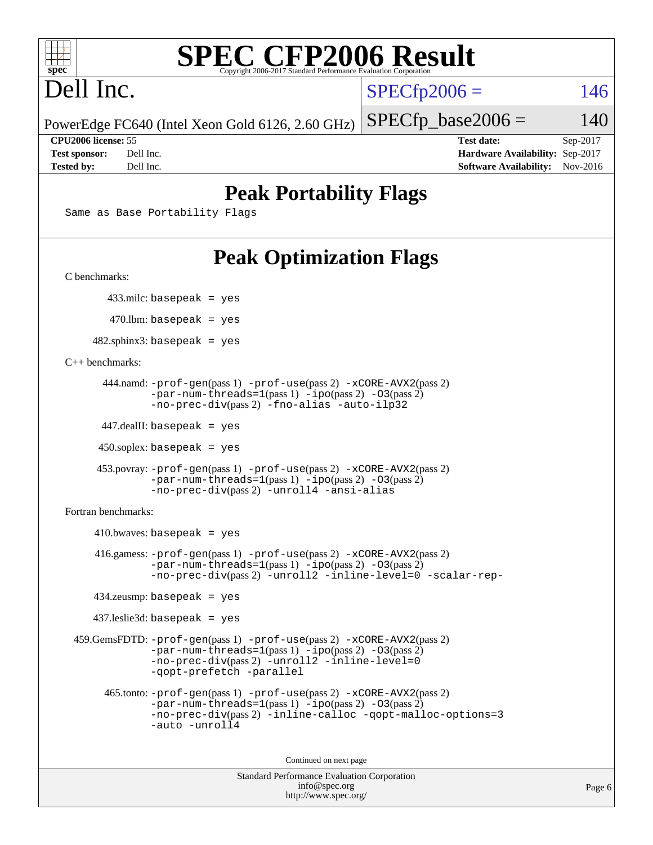

# Dell Inc.

 $SPECTp2006 = 146$ 

PowerEdge FC640 (Intel Xeon Gold 6126, 2.60 GHz)

 $SPECTp\_base2006 = 140$ 

**[CPU2006 license:](http://www.spec.org/auto/cpu2006/Docs/result-fields.html#CPU2006license)** 55 **[Test date:](http://www.spec.org/auto/cpu2006/Docs/result-fields.html#Testdate)** Sep-2017 **[Test sponsor:](http://www.spec.org/auto/cpu2006/Docs/result-fields.html#Testsponsor)** Dell Inc. **[Hardware Availability:](http://www.spec.org/auto/cpu2006/Docs/result-fields.html#HardwareAvailability)** Sep-2017 **[Tested by:](http://www.spec.org/auto/cpu2006/Docs/result-fields.html#Testedby)** Dell Inc. **[Software Availability:](http://www.spec.org/auto/cpu2006/Docs/result-fields.html#SoftwareAvailability)** Nov-2016

## **[Peak Portability Flags](http://www.spec.org/auto/cpu2006/Docs/result-fields.html#PeakPortabilityFlags)**

Same as Base Portability Flags

## **[Peak Optimization Flags](http://www.spec.org/auto/cpu2006/Docs/result-fields.html#PeakOptimizationFlags)**

[C benchmarks](http://www.spec.org/auto/cpu2006/Docs/result-fields.html#Cbenchmarks):

433.milc: basepeak = yes

470.lbm: basepeak = yes

 $482$ .sphinx3: basepeak = yes

[C++ benchmarks:](http://www.spec.org/auto/cpu2006/Docs/result-fields.html#CXXbenchmarks)

```
 444.namd: -prof-gen(pass 1) -prof-use(pass 2) -xCORE-AVX2(pass 2)
      -par-num-threads=1-ipo-O3(pass 2)-no-prec-div(pass 2) -fno-alias -auto-ilp32
```
447.dealII: basepeak = yes

 $450$ .soplex: basepeak = yes

```
 453.povray: -prof-gen(pass 1) -prof-use(pass 2) -xCORE-AVX2(pass 2)
        -par-num-threads=1-ipo-O3(pass 2)-no-prec-div(pass 2) -unroll4 -ansi-alias
```
[Fortran benchmarks](http://www.spec.org/auto/cpu2006/Docs/result-fields.html#Fortranbenchmarks):

```
410.bwaves: basepeak = yes 416.gamess: -prof-gen(pass 1) -prof-use(pass 2) -xCORE-AVX2(pass 2)
            -par-num-threads=1-ipo-O3(pass 2)-no-prec-div(pass 2) -unroll2 -inline-level=0 -scalar-rep-
   434.zeusmp: basepeak = yes
   437.leslie3d: basepeak = yes
459.GemsFDTD: -prof-gen(pass 1) -prof-use(pass 2) -xCORE-AVX2(pass 2)
            -par-num-threads=1(pass 1) -ipo(pass 2) -O3(pass 2)
            -no-prec-div(pass 2) -unroll2 -inline-level=0
            -qopt-prefetch -parallel
     465.tonto: -prof-gen(pass 1) -prof-use(pass 2) -xCORE-AVX2(pass 2)
            -par-num-threads=1(pass 1) -ipo(pass 2) -O3(pass 2)
            -no-prec-div-inline-calloc-qopt-malloc-options=3
            -auto -unroll4
```
Continued on next page

```
Standard Performance Evaluation Corporation
            info@spec.org
          http://www.spec.org/
```